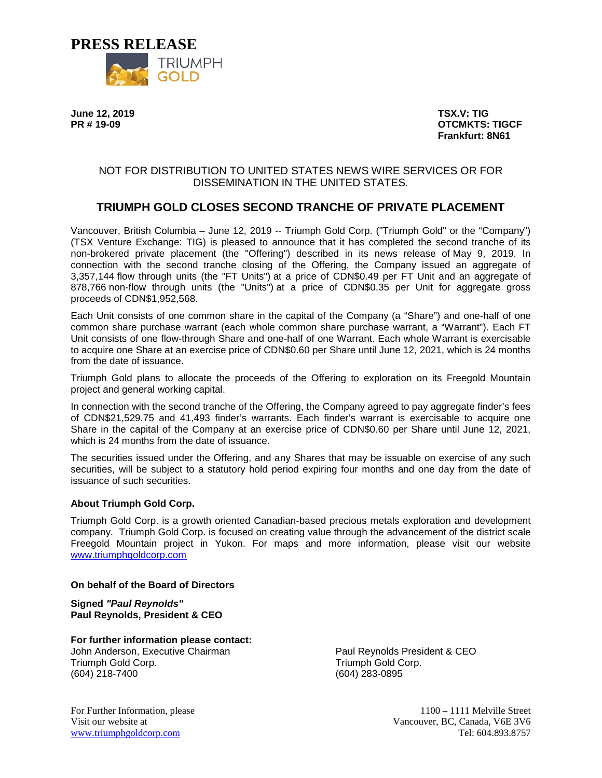

**June 12, 2019 TSX.V: TIG**

**PROTCMKTS: TIGCF Frankfurt: 8N61**

## NOT FOR DISTRIBUTION TO UNITED STATES NEWS WIRE SERVICES OR FOR DISSEMINATION IN THE UNITED STATES.

# **TRIUMPH GOLD CLOSES SECOND TRANCHE OF PRIVATE PLACEMENT**

Vancouver, British Columbia – June 12, 2019 -- Triumph Gold Corp. ("Triumph Gold" or the "Company") (TSX Venture Exchange: TIG) is pleased to announce that it has completed the second tranche of its non-brokered private placement (the "Offering") described in its news release of May 9, 2019. In connection with the second tranche closing of the Offering, the Company issued an aggregate of 3,357,144 flow through units (the "FT Units") at a price of CDN\$0.49 per FT Unit and an aggregate of 878,766 non-flow through units (the "Units") at a price of CDN\$0.35 per Unit for aggregate gross proceeds of CDN\$1,952,568.

Each Unit consists of one common share in the capital of the Company (a "Share") and one-half of one common share purchase warrant (each whole common share purchase warrant, a "Warrant"). Each FT Unit consists of one flow-through Share and one-half of one Warrant. Each whole Warrant is exercisable to acquire one Share at an exercise price of CDN\$0.60 per Share until June 12, 2021, which is 24 months from the date of issuance.

Triumph Gold plans to allocate the proceeds of the Offering to exploration on its Freegold Mountain project and general working capital.

In connection with the second tranche of the Offering, the Company agreed to pay aggregate finder's fees of CDN\$21,529.75 and 41,493 finder's warrants. Each finder's warrant is exercisable to acquire one Share in the capital of the Company at an exercise price of CDN\$0.60 per Share until June 12, 2021, which is 24 months from the date of issuance.

The securities issued under the Offering, and any Shares that may be issuable on exercise of any such securities, will be subject to a statutory hold period expiring four months and one day from the date of issuance of such securities.

#### **About Triumph Gold Corp.**

Triumph Gold Corp. is a growth oriented Canadian-based precious metals exploration and development company. Triumph Gold Corp. is focused on creating value through the advancement of the district scale Freegold Mountain project in Yukon. For maps and more information, please visit our website [www.triumphgoldcorp.com](http://www.triumphgoldcorp.com/)

#### **On behalf of the Board of Directors**

**Signed** *"Paul Reynolds"* **Paul Reynolds, President & CEO**

**For further information please contact:** John Anderson, Executive Chairman Triumph Gold Corp. (604) 218-7400

Paul Reynolds President & CEO Triumph Gold Corp. (604) 283-0895

For Further Information, please 1100 – 1111 Melville Street Visit our website at Vancouver, BC, Canada, V6E 3V6 [www.triumphgoldcorp.com](http://www.triumphgoldcorp.com/) Tel: 604.893.8757